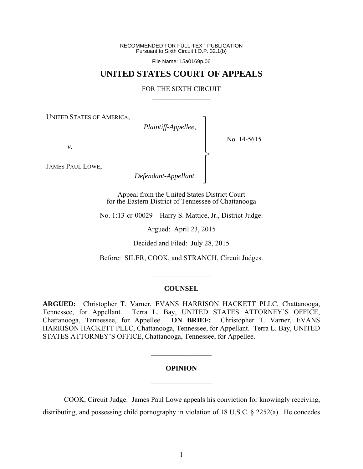RECOMMENDED FOR FULL-TEXT PUBLICATION Pursuant to Sixth Circuit I.O.P. 32.1(b)

File Name: 15a0169p.06

# **UNITED STATES COURT OF APPEALS**

#### FOR THE SIXTH CIRCUIT  $\mathcal{L}_\text{max}$

┐ │ │ │ │ │ │ │ ┘

>

UNITED STATES OF AMERICA,

*Plaintiff-Appellee*,

No. 14-5615

*v*.

JAMES PAUL LOWE,

*Defendant-Appellant*.

Appeal from the United States District Court for the Eastern District of Tennessee of Chattanooga

No. 1:13-cr-00029—Harry S. Mattice, Jr., District Judge.

Argued: April 23, 2015

Decided and Filed: July 28, 2015

Before: SILER, COOK, and STRANCH, Circuit Judges.

 $\frac{1}{2}$ 

#### **COUNSEL**

**ARGUED:** Christopher T. Varner, EVANS HARRISON HACKETT PLLC, Chattanooga, Tennessee, for Appellant. Terra L. Bay, UNITED STATES ATTORNEY'S OFFICE, Chattanooga, Tennessee, for Appellee. **ON BRIEF:** Christopher T. Varner, EVANS HARRISON HACKETT PLLC, Chattanooga, Tennessee, for Appellant. Terra L. Bay, UNITED STATES ATTORNEY'S OFFICE, Chattanooga, Tennessee, for Appellee.

### **OPINION**

 $\frac{1}{2}$ 

 $\mathcal{L}_\text{max}$ 

 COOK, Circuit Judge. James Paul Lowe appeals his conviction for knowingly receiving, distributing, and possessing child pornography in violation of 18 U.S.C. § 2252(a). He concedes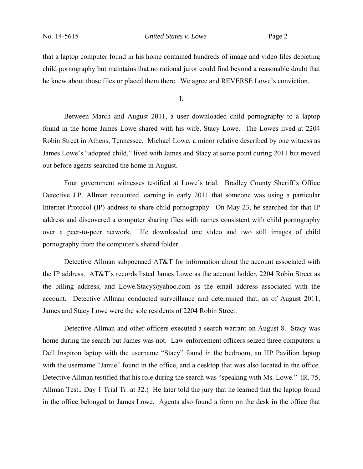that a laptop computer found in his home contained hundreds of image and video files depicting child pornography but maintains that no rational juror could find beyond a reasonable doubt that he knew about those files or placed them there. We agree and REVERSE Lowe's conviction.

I.

Between March and August 2011, a user downloaded child pornography to a laptop found in the home James Lowe shared with his wife, Stacy Lowe. The Lowes lived at 2204 Robin Street in Athens, Tennessee. Michael Lowe, a minor relative described by one witness as James Lowe's "adopted child," lived with James and Stacy at some point during 2011 but moved out before agents searched the home in August.

Four government witnesses testified at Lowe's trial. Bradley County Sheriff's Office Detective J.P. Allman recounted learning in early 2011 that someone was using a particular Internet Protocol (IP) address to share child pornography. On May 23, he searched for that IP address and discovered a computer sharing files with names consistent with child pornography over a peer-to-peer network. He downloaded one video and two still images of child pornography from the computer's shared folder.

Detective Allman subpoenaed AT&T for information about the account associated with the IP address. AT&T's records listed James Lowe as the account holder, 2204 Robin Street as the billing address, and Lowe.Stacy@yahoo.com as the email address associated with the account. Detective Allman conducted surveillance and determined that, as of August 2011, James and Stacy Lowe were the sole residents of 2204 Robin Street.

Detective Allman and other officers executed a search warrant on August 8. Stacy was home during the search but James was not. Law enforcement officers seized three computers: a Dell Inspiron laptop with the username "Stacy" found in the bedroom, an HP Pavilion laptop with the username "Jamie" found in the office, and a desktop that was also located in the office. Detective Allman testified that his role during the search was "speaking with Ms. Lowe." (R. 75, Allman Test., Day 1 Trial Tr. at 32.) He later told the jury that he learned that the laptop found in the office belonged to James Lowe. Agents also found a form on the desk in the office that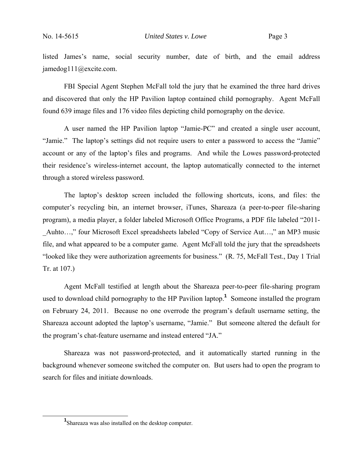listed James's name, social security number, date of birth, and the email address jamedog111@excite.com.

FBI Special Agent Stephen McFall told the jury that he examined the three hard drives and discovered that only the HP Pavilion laptop contained child pornography. Agent McFall found 639 image files and 176 video files depicting child pornography on the device.

A user named the HP Pavilion laptop "Jamie-PC" and created a single user account, "Jamie." The laptop's settings did not require users to enter a password to access the "Jamie" account or any of the laptop's files and programs. And while the Lowes password-protected their residence's wireless-internet account, the laptop automatically connected to the internet through a stored wireless password.

The laptop's desktop screen included the following shortcuts, icons, and files: the computer's recycling bin, an internet browser, iTunes, Shareaza (a peer-to-peer file-sharing program), a media player, a folder labeled Microsoft Office Programs, a PDF file labeled "2011- Auhto…," four Microsoft Excel spreadsheets labeled "Copy of Service Aut…," an MP3 music file, and what appeared to be a computer game. Agent McFall told the jury that the spreadsheets "looked like they were authorization agreements for business." (R. 75, McFall Test., Day 1 Trial Tr. at 107.)

Agent McFall testified at length about the Shareaza peer-to-peer file-sharing program used to download child pornography to the HP Pavilion laptop.**<sup>1</sup>** Someone installed the program on February 24, 2011. Because no one overrode the program's default username setting, the Shareaza account adopted the laptop's username, "Jamie." But someone altered the default for the program's chat-feature username and instead entered "JA."

Shareaza was not password-protected, and it automatically started running in the background whenever someone switched the computer on. But users had to open the program to search for files and initiate downloads.

**<sup>1</sup>** <sup>1</sup>Shareaza was also installed on the desktop computer.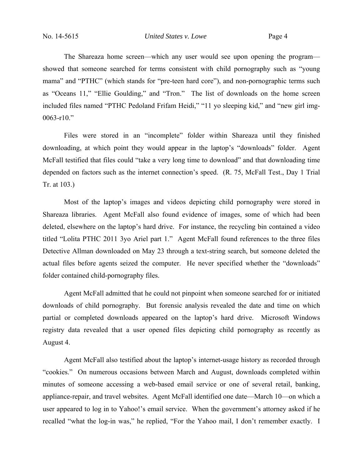The Shareaza home screen—which any user would see upon opening the program showed that someone searched for terms consistent with child pornography such as "young mama" and "PTHC" (which stands for "pre-teen hard core"), and non-pornographic terms such as "Oceans 11," "Ellie Goulding," and "Tron." The list of downloads on the home screen included files named "PTHC Pedoland Frifam Heidi," "11 yo sleeping kid," and "new girl img-0063-r10."

Files were stored in an "incomplete" folder within Shareaza until they finished downloading, at which point they would appear in the laptop's "downloads" folder. Agent McFall testified that files could "take a very long time to download" and that downloading time depended on factors such as the internet connection's speed. (R. 75, McFall Test., Day 1 Trial Tr. at 103.)

Most of the laptop's images and videos depicting child pornography were stored in Shareaza libraries. Agent McFall also found evidence of images, some of which had been deleted, elsewhere on the laptop's hard drive. For instance, the recycling bin contained a video titled "Lolita PTHC 2011 3yo Ariel part 1." Agent McFall found references to the three files Detective Allman downloaded on May 23 through a text-string search, but someone deleted the actual files before agents seized the computer. He never specified whether the "downloads" folder contained child-pornography files.

Agent McFall admitted that he could not pinpoint when someone searched for or initiated downloads of child pornography. But forensic analysis revealed the date and time on which partial or completed downloads appeared on the laptop's hard drive. Microsoft Windows registry data revealed that a user opened files depicting child pornography as recently as August 4.

Agent McFall also testified about the laptop's internet-usage history as recorded through "cookies." On numerous occasions between March and August, downloads completed within minutes of someone accessing a web-based email service or one of several retail, banking, appliance-repair, and travel websites. Agent McFall identified one date—March 10—on which a user appeared to log in to Yahoo!'s email service. When the government's attorney asked if he recalled "what the log-in was," he replied, "For the Yahoo mail, I don't remember exactly. I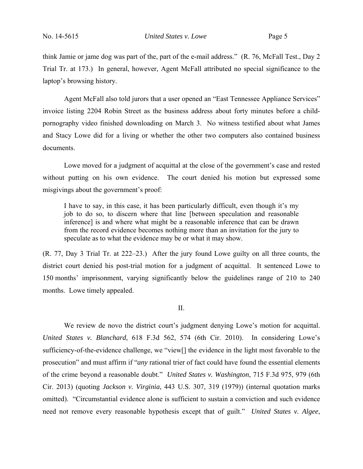think Jamie or jame dog was part of the, part of the e-mail address." (R. 76, McFall Test., Day 2 Trial Tr. at 173.) In general, however, Agent McFall attributed no special significance to the laptop's browsing history.

Agent McFall also told jurors that a user opened an "East Tennessee Appliance Services" invoice listing 2204 Robin Street as the business address about forty minutes before a childpornography video finished downloading on March 3. No witness testified about what James and Stacy Lowe did for a living or whether the other two computers also contained business documents.

Lowe moved for a judgment of acquittal at the close of the government's case and rested without putting on his own evidence. The court denied his motion but expressed some misgivings about the government's proof:

I have to say, in this case, it has been particularly difficult, even though it's my job to do so, to discern where that line [between speculation and reasonable inference] is and where what might be a reasonable inference that can be drawn from the record evidence becomes nothing more than an invitation for the jury to speculate as to what the evidence may be or what it may show.

(R. 77, Day 3 Trial Tr. at 222–23.) After the jury found Lowe guilty on all three counts, the district court denied his post-trial motion for a judgment of acquittal. It sentenced Lowe to 150 months' imprisonment, varying significantly below the guidelines range of 210 to 240 months. Lowe timely appealed.

#### II.

We review de novo the district court's judgment denying Lowe's motion for acquittal. *United States v. Blanchard*, 618 F.3d 562, 574 (6th Cir. 2010). In considering Lowe's sufficiency-of-the-evidence challenge, we "view[] the evidence in the light most favorable to the prosecution" and must affirm if "*any* rational trier of fact could have found the essential elements of the crime beyond a reasonable doubt." *United States v. Washington*, 715 F.3d 975, 979 (6th Cir. 2013) (quoting *Jackson v. Virginia*, 443 U.S. 307, 319 (1979)) (internal quotation marks omitted). "Circumstantial evidence alone is sufficient to sustain a conviction and such evidence need not remove every reasonable hypothesis except that of guilt." *United States v. Algee*,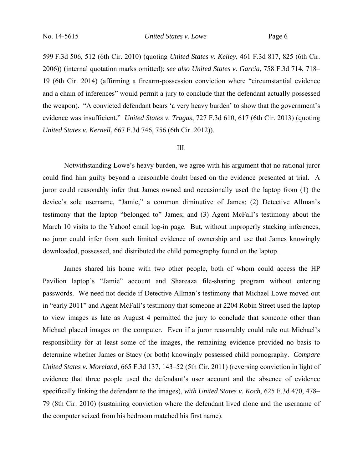599 F.3d 506, 512 (6th Cir. 2010) (quoting *United States v. Kelley*, 461 F.3d 817, 825 (6th Cir. 2006)) (internal quotation marks omitted); *see also United States v. Garcia*, 758 F.3d 714, 718– 19 (6th Cir. 2014) (affirming a firearm-possession conviction where "circumstantial evidence and a chain of inferences" would permit a jury to conclude that the defendant actually possessed the weapon). "A convicted defendant bears 'a very heavy burden' to show that the government's evidence was insufficient." *United States v. Tragas*, 727 F.3d 610, 617 (6th Cir. 2013) (quoting *United States v. Kernell*, 667 F.3d 746, 756 (6th Cir. 2012)).

#### III.

Notwithstanding Lowe's heavy burden, we agree with his argument that no rational juror could find him guilty beyond a reasonable doubt based on the evidence presented at trial. A juror could reasonably infer that James owned and occasionally used the laptop from (1) the device's sole username, "Jamie," a common diminutive of James; (2) Detective Allman's testimony that the laptop "belonged to" James; and (3) Agent McFall's testimony about the March 10 visits to the Yahoo! email log-in page. But, without improperly stacking inferences, no juror could infer from such limited evidence of ownership and use that James knowingly downloaded, possessed, and distributed the child pornography found on the laptop.

James shared his home with two other people, both of whom could access the HP Pavilion laptop's "Jamie" account and Shareaza file-sharing program without entering passwords. We need not decide if Detective Allman's testimony that Michael Lowe moved out in "early 2011" and Agent McFall's testimony that someone at 2204 Robin Street used the laptop to view images as late as August 4 permitted the jury to conclude that someone other than Michael placed images on the computer. Even if a juror reasonably could rule out Michael's responsibility for at least some of the images, the remaining evidence provided no basis to determine whether James or Stacy (or both) knowingly possessed child pornography. *Compare United States v. Moreland*, 665 F.3d 137, 143–52 (5th Cir. 2011) (reversing conviction in light of evidence that three people used the defendant's user account and the absence of evidence specifically linking the defendant to the images), *with United States v. Koch*, 625 F.3d 470, 478– 79 (8th Cir. 2010) (sustaining conviction where the defendant lived alone and the username of the computer seized from his bedroom matched his first name).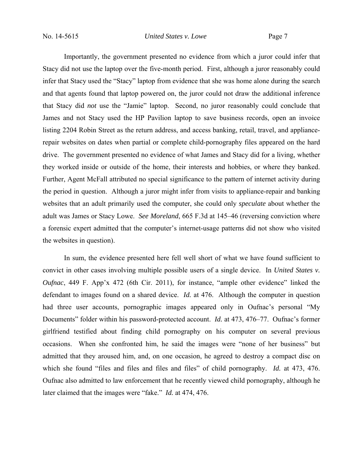Importantly, the government presented no evidence from which a juror could infer that Stacy did not use the laptop over the five-month period. First, although a juror reasonably could infer that Stacy used the "Stacy" laptop from evidence that she was home alone during the search and that agents found that laptop powered on, the juror could not draw the additional inference that Stacy did *not* use the "Jamie" laptop. Second, no juror reasonably could conclude that James and not Stacy used the HP Pavilion laptop to save business records, open an invoice listing 2204 Robin Street as the return address, and access banking, retail, travel, and appliancerepair websites on dates when partial or complete child-pornography files appeared on the hard drive. The government presented no evidence of what James and Stacy did for a living, whether they worked inside or outside of the home, their interests and hobbies, or where they banked. Further, Agent McFall attributed no special significance to the pattern of internet activity during the period in question. Although a juror might infer from visits to appliance-repair and banking websites that an adult primarily used the computer, she could only *speculate* about whether the adult was James or Stacy Lowe. *See Moreland*, 665 F.3d at 145–46 (reversing conviction where a forensic expert admitted that the computer's internet-usage patterns did not show who visited the websites in question).

In sum, the evidence presented here fell well short of what we have found sufficient to convict in other cases involving multiple possible users of a single device. In *United States v. Oufnac*, 449 F. App'x 472 (6th Cir. 2011), for instance, "ample other evidence" linked the defendant to images found on a shared device. *Id.* at 476. Although the computer in question had three user accounts, pornographic images appeared only in Oufnac's personal "My Documents" folder within his password-protected account. *Id.* at 473, 476–77. Oufnac's former girlfriend testified about finding child pornography on his computer on several previous occasions. When she confronted him, he said the images were "none of her business" but admitted that they aroused him, and, on one occasion, he agreed to destroy a compact disc on which she found "files and files and files and files" of child pornography. *Id.* at 473, 476. Oufnac also admitted to law enforcement that he recently viewed child pornography, although he later claimed that the images were "fake." *Id.* at 474, 476.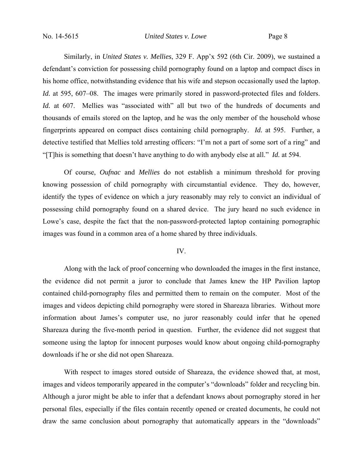Similarly, in *United States v. Mellies*, 329 F. App'x 592 (6th Cir. 2009), we sustained a defendant's conviction for possessing child pornography found on a laptop and compact discs in his home office, notwithstanding evidence that his wife and stepson occasionally used the laptop. *Id.* at 595, 607–08. The images were primarily stored in password-protected files and folders. *Id.* at 607. Mellies was "associated with" all but two of the hundreds of documents and thousands of emails stored on the laptop, and he was the only member of the household whose fingerprints appeared on compact discs containing child pornography. *Id.* at 595. Further, a detective testified that Mellies told arresting officers: "I'm not a part of some sort of a ring" and "[T]his is something that doesn't have anything to do with anybody else at all." *Id.* at 594.

Of course, *Oufnac* and *Mellies* do not establish a minimum threshold for proving knowing possession of child pornography with circumstantial evidence. They do, however, identify the types of evidence on which a jury reasonably may rely to convict an individual of possessing child pornography found on a shared device. The jury heard no such evidence in Lowe's case, despite the fact that the non-password-protected laptop containing pornographic images was found in a common area of a home shared by three individuals.

## IV.

Along with the lack of proof concerning who downloaded the images in the first instance, the evidence did not permit a juror to conclude that James knew the HP Pavilion laptop contained child-pornography files and permitted them to remain on the computer. Most of the images and videos depicting child pornography were stored in Shareaza libraries. Without more information about James's computer use, no juror reasonably could infer that he opened Shareaza during the five-month period in question. Further, the evidence did not suggest that someone using the laptop for innocent purposes would know about ongoing child-pornography downloads if he or she did not open Shareaza.

With respect to images stored outside of Shareaza, the evidence showed that, at most, images and videos temporarily appeared in the computer's "downloads" folder and recycling bin. Although a juror might be able to infer that a defendant knows about pornography stored in her personal files, especially if the files contain recently opened or created documents, he could not draw the same conclusion about pornography that automatically appears in the "downloads"